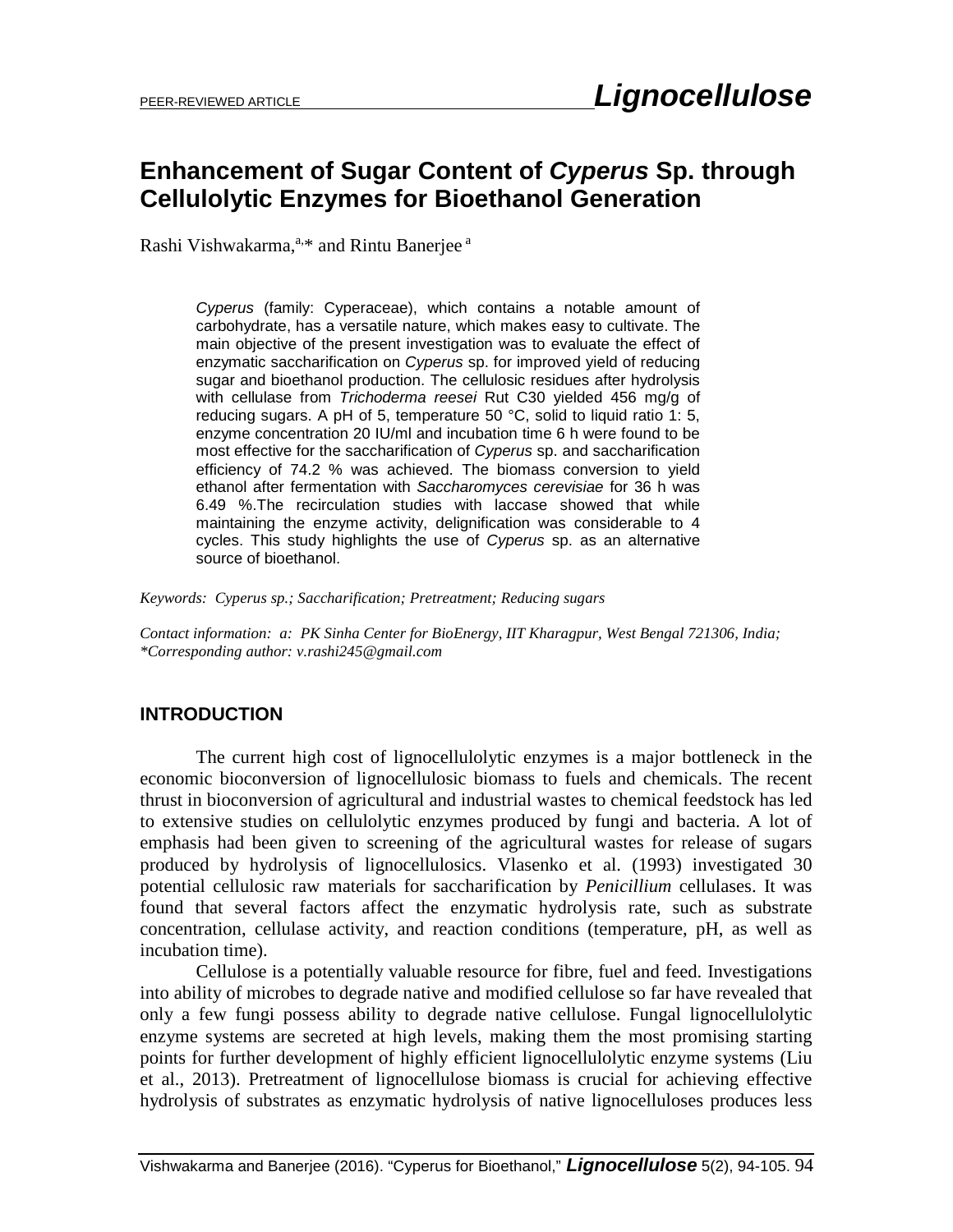# **Enhancement of Sugar Content of** *Cyperus* **Sp. through Cellulolytic Enzymes for Bioethanol Generation**

Rashi Vishwakarma, a,\* and Rintu Banerjee a

*Cyperus* (family: Cyperaceae), which contains a notable amount of carbohydrate, has a versatile nature, which makes easy to cultivate. The main objective of the present investigation was to evaluate the effect of enzymatic saccharification on *Cyperus* sp. for improved yield of reducing sugar and bioethanol production. The cellulosic residues after hydrolysis with cellulase from *Trichoderma reesei* Rut C30 yielded 456 mg/g of reducing sugars. A pH of 5, temperature 50 °C, solid to liquid ratio 1: 5, enzyme concentration 20 IU/ml and incubation time 6 h were found to be most effective for the saccharification of *Cyperus* sp. and saccharification efficiency of 74.2 % was achieved. The biomass conversion to yield ethanol after fermentation with *Saccharomyces cerevisiae* for 36 h was 6.49 %.The recirculation studies with laccase showed that while maintaining the enzyme activity, delignification was considerable to 4 cycles. This study highlights the use of *Cyperus* sp. as an alternative source of bioethanol.

*Keywords: Cyperus sp.; Saccharification; Pretreatment; Reducing sugars*

*Contact information: a: PK Sinha Center for BioEnergy, IIT Kharagpur, West Bengal 721306, India; \*Corresponding author: v.rashi245@gmail.com*

### **INTRODUCTION**

The current high cost of lignocellulolytic enzymes is a major bottleneck in the economic bioconversion of lignocellulosic biomass to fuels and chemicals. The recent thrust in bioconversion of agricultural and industrial wastes to chemical feedstock has led to extensive studies on cellulolytic enzymes produced by fungi and bacteria. A lot of emphasis had been given to screening of the agricultural wastes for release of sugars produced by hydrolysis of lignocellulosics. Vlasenko et al. (1993) investigated 30 potential cellulosic raw materials for saccharification by *Penicillium* cellulases. It was found that several factors affect the enzymatic hydrolysis rate, such as substrate concentration, cellulase activity, and reaction conditions (temperature, pH, as well as incubation time).

Cellulose is a potentially valuable resource for fibre, fuel and feed. Investigations into ability of microbes to degrade native and modified cellulose so far have revealed that only a few fungi possess ability to degrade native cellulose. Fungal lignocellulolytic enzyme systems are secreted at high levels, making them the most promising starting points for further development of highly efficient lignocellulolytic enzyme systems (Liu et al., 2013). Pretreatment of lignocellulose biomass is crucial for achieving effective hydrolysis of substrates as enzymatic hydrolysis of native lignocelluloses produces less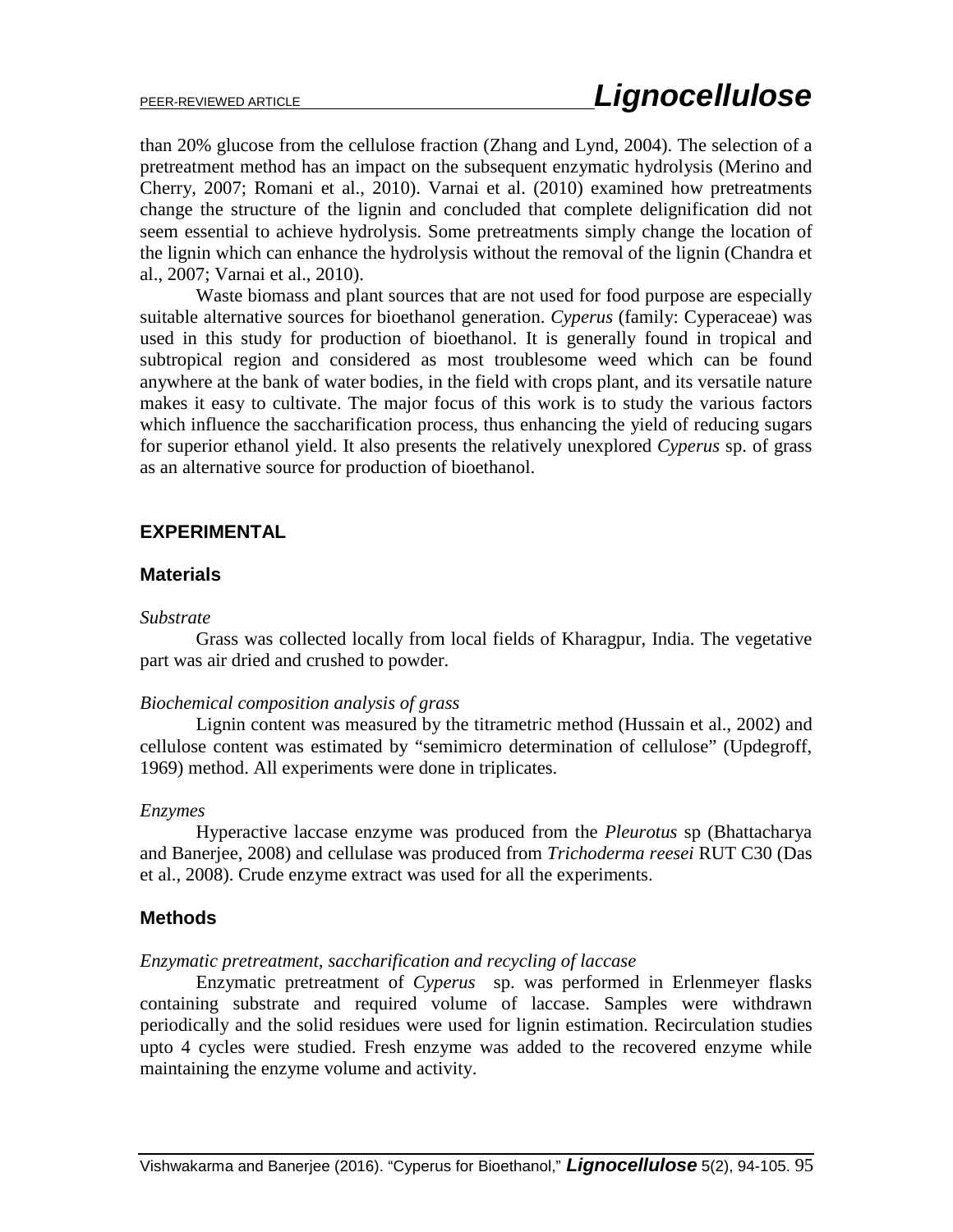than 20% glucose from the cellulose fraction (Zhang and Lynd, 2004). The selection of a pretreatment method has an impact on the subsequent enzymatic hydrolysis (Merino and Cherry, 2007; Romani et al., 2010). Varnai et al. (2010) examined how pretreatments change the structure of the lignin and concluded that complete delignification did not seem essential to achieve hydrolysis. Some pretreatments simply change the location of the lignin which can enhance the hydrolysis without the removal of the lignin (Chandra et al., 2007; Varnai et al., 2010).

Waste biomass and plant sources that are not used for food purpose are especially suitable alternative sources for bioethanol generation. *Cyperus* (family: Cyperaceae) was used in this study for production of bioethanol. It is generally found in tropical and subtropical region and considered as most troublesome weed which can be found anywhere at the bank of water bodies, in the field with crops plant, and its versatile nature makes it easy to cultivate. The major focus of this work is to study the various factors which influence the saccharification process, thus enhancing the yield of reducing sugars for superior ethanol yield. It also presents the relatively unexplored *Cyperus* sp. of grass as an alternative source for production of bioethanol.

### **EXPERIMENTAL**

### **Materials**

#### *Substrate*

Grass was collected locally from local fields of Kharagpur, India. The vegetative part was air dried and crushed to powder.

#### *Biochemical composition analysis of grass*

Lignin content was measured by the titrametric method (Hussain et al., 2002) and cellulose content was estimated by "semimicro determination of cellulose" (Updegroff, 1969) method. All experiments were done in triplicates.

#### *Enzymes*

Hyperactive laccase enzyme was produced from the *Pleurotus* sp (Bhattacharya and Banerjee, 2008) and cellulase was produced from *Trichoderma reesei* RUT C30 (Das et al., 2008). Crude enzyme extract was used for all the experiments.

### **Methods**

### *Enzymatic pretreatment, saccharification and recycling of laccase*

Enzymatic pretreatment of *Cyperus* sp. was performed in Erlenmeyer flasks containing substrate and required volume of laccase. Samples were withdrawn periodically and the solid residues were used for lignin estimation. Recirculation studies upto 4 cycles were studied. Fresh enzyme was added to the recovered enzyme while maintaining the enzyme volume and activity.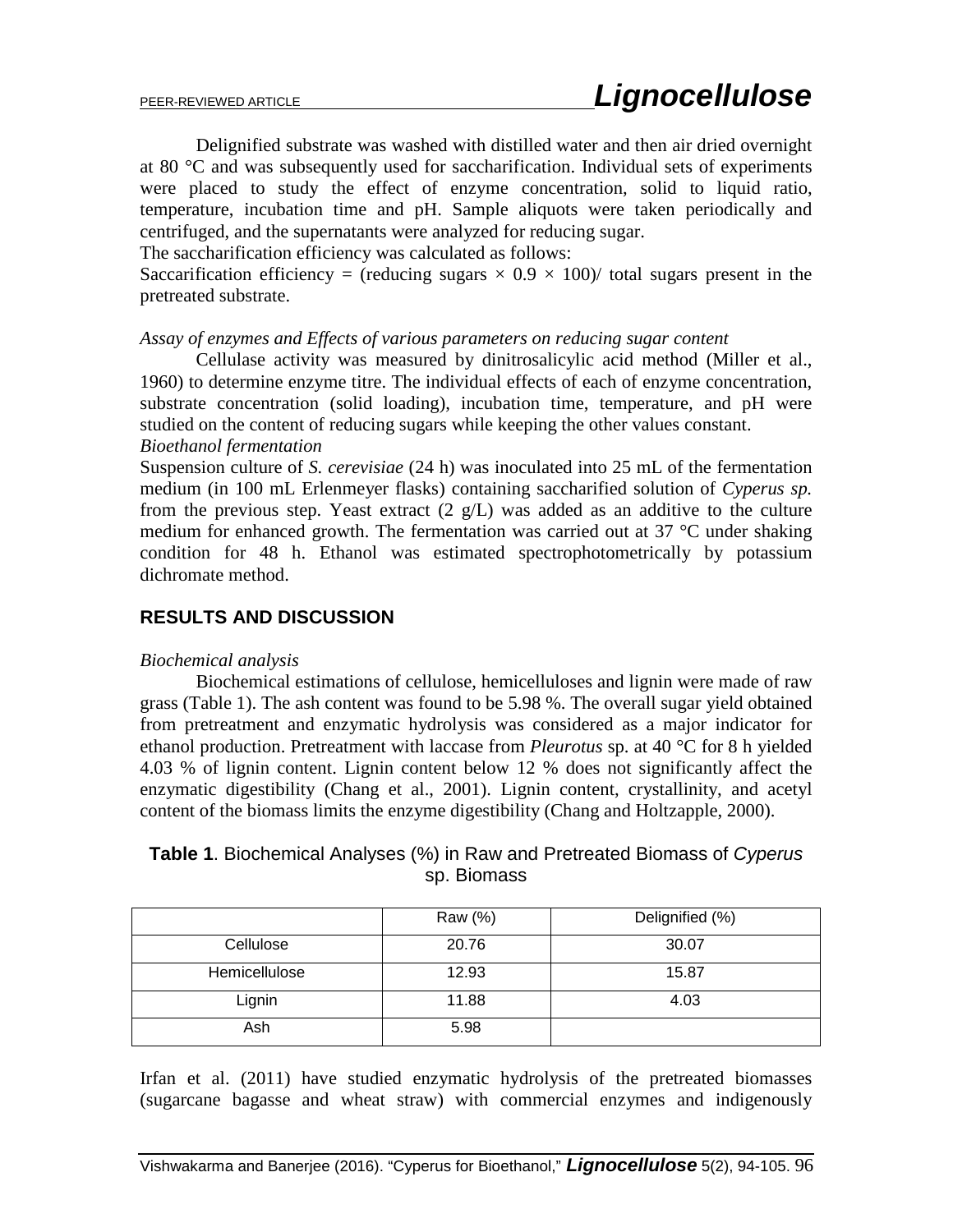Delignified substrate was washed with distilled water and then air dried overnight at 80 °C and was subsequently used for saccharification. Individual sets of experiments were placed to study the effect of enzyme concentration, solid to liquid ratio, temperature, incubation time and pH. Sample aliquots were taken periodically and centrifuged, and the supernatants were analyzed for reducing sugar.

The saccharification efficiency was calculated as follows:

Saccarification efficiency = (reducing sugars  $\times$  0.9  $\times$  100)/ total sugars present in the pretreated substrate.

*Assay of enzymes and Effects of various parameters on reducing sugar content*

Cellulase activity was measured by dinitrosalicylic acid method (Miller et al., 1960) to determine enzyme titre. The individual effects of each of enzyme concentration, substrate concentration (solid loading), incubation time, temperature, and pH were studied on the content of reducing sugars while keeping the other values constant. *Bioethanol fermentation*

Suspension culture of *S. cerevisiae* (24 h) was inoculated into 25 mL of the fermentation medium (in 100 mL Erlenmeyer flasks) containing saccharified solution of *Cyperus sp.*  from the previous step. Yeast extract  $(2 \text{ g/L})$  was added as an additive to the culture medium for enhanced growth. The fermentation was carried out at 37 °C under shaking condition for 48 h. Ethanol was estimated spectrophotometrically by potassium dichromate method.

## **RESULTS AND DISCUSSION**

### *Biochemical analysis*

Biochemical estimations of cellulose, hemicelluloses and lignin were made of raw grass (Table 1). The ash content was found to be 5.98 %. The overall sugar yield obtained from pretreatment and enzymatic hydrolysis was considered as a major indicator for ethanol production. Pretreatment with laccase from *Pleurotus* sp. at 40 °C for 8 h yielded 4.03 % of lignin content. Lignin content below 12 % does not significantly affect the enzymatic digestibility (Chang et al., 2001). Lignin content, crystallinity, and acetyl content of the biomass limits the enzyme digestibility (Chang and Holtzapple, 2000).

| <b>Table 1.</b> Biochemical Analyses (%) in Raw and Pretreated Biomass of Cyperus |
|-----------------------------------------------------------------------------------|
| sp. Biomass                                                                       |

|               | Raw (%) | Delignified (%) |
|---------------|---------|-----------------|
| Cellulose     | 20.76   | 30.07           |
| Hemicellulose | 12.93   | 15.87           |
| Lignin        | 11.88   | 4.03            |
| Ash           | 5.98    |                 |

Irfan et al. (2011) have studied enzymatic hydrolysis of the pretreated biomasses (sugarcane bagasse and wheat straw) with commercial enzymes and indigenously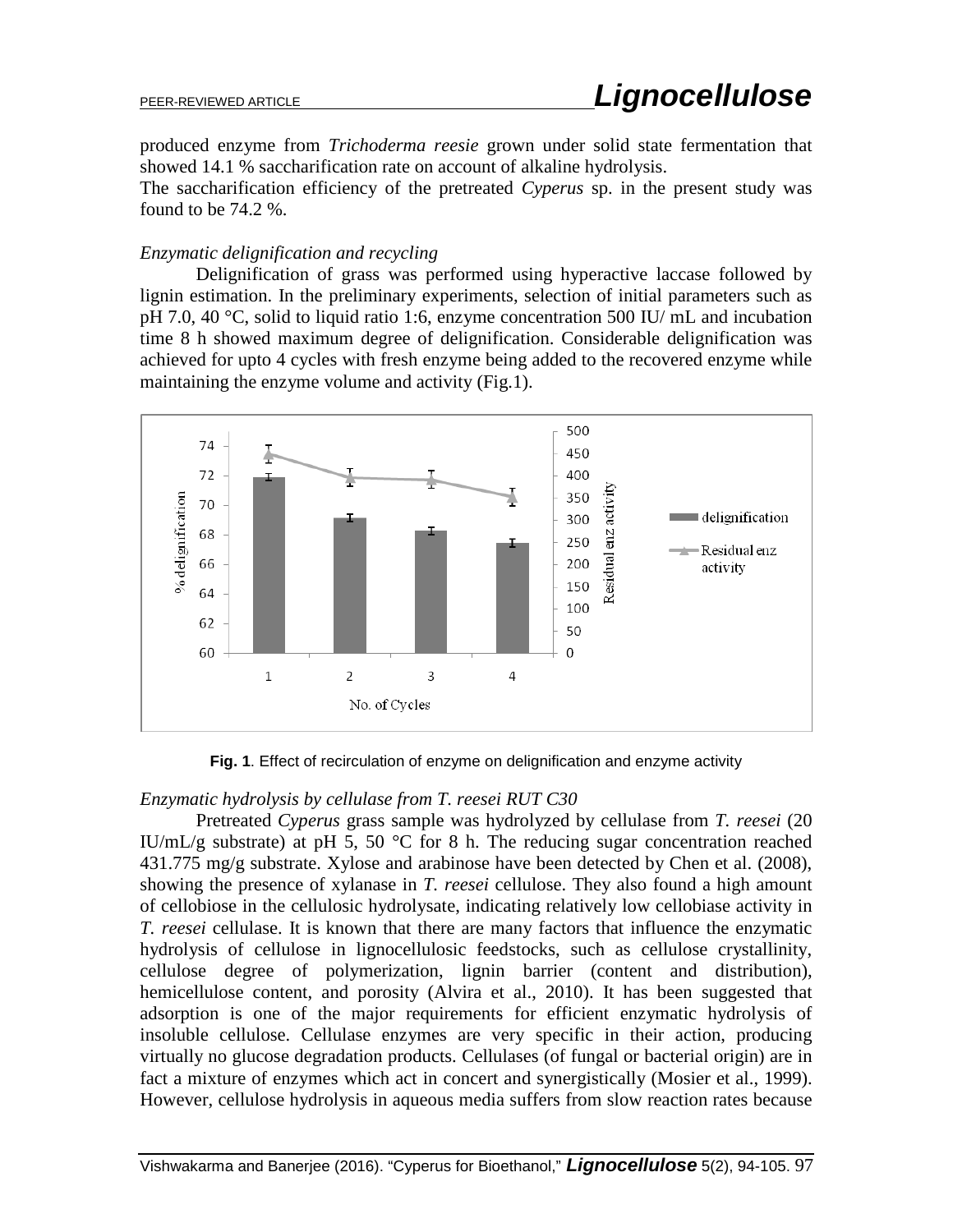produced enzyme from *Trichoderma reesie* grown under solid state fermentation that showed 14.1 % saccharification rate on account of alkaline hydrolysis.

The saccharification efficiency of the pretreated *Cyperus* sp. in the present study was found to be 74.2 %.

### *Enzymatic delignification and recycling*

Delignification of grass was performed using hyperactive laccase followed by lignin estimation. In the preliminary experiments, selection of initial parameters such as pH 7.0, 40 °C, solid to liquid ratio 1:6, enzyme concentration 500 IU/ mL and incubation time 8 h showed maximum degree of delignification. Considerable delignification was achieved for upto 4 cycles with fresh enzyme being added to the recovered enzyme while maintaining the enzyme volume and activity (Fig.1).



**Fig. 1**. Effect of recirculation of enzyme on delignification and enzyme activity

## *Enzymatic hydrolysis by cellulase from T. reesei RUT C30*

Pretreated *Cyperus* grass sample was hydrolyzed by cellulase from *T. reesei* (20 IU/mL/g substrate) at pH 5, 50  $^{\circ}$ C for 8 h. The reducing sugar concentration reached 431.775 mg/g substrate. Xylose and arabinose have been detected by Chen et al. (2008), showing the presence of xylanase in *T. reesei* cellulose. They also found a high amount of cellobiose in the cellulosic hydrolysate, indicating relatively low cellobiase activity in *T. reesei* cellulase. It is known that there are many factors that influence the enzymatic hydrolysis of cellulose in lignocellulosic feedstocks, such as cellulose crystallinity, cellulose degree of polymerization, lignin barrier (content and distribution), hemicellulose content, and porosity (Alvira et al., 2010). It has been suggested that adsorption is one of the major requirements for efficient enzymatic hydrolysis of insoluble cellulose. Cellulase enzymes are very specific in their action, producing virtually no glucose degradation products. Cellulases (of fungal or bacterial origin) are in fact a mixture of enzymes which act in concert and synergistically (Mosier et al., 1999). However, cellulose hydrolysis in aqueous media suffers from slow reaction rates because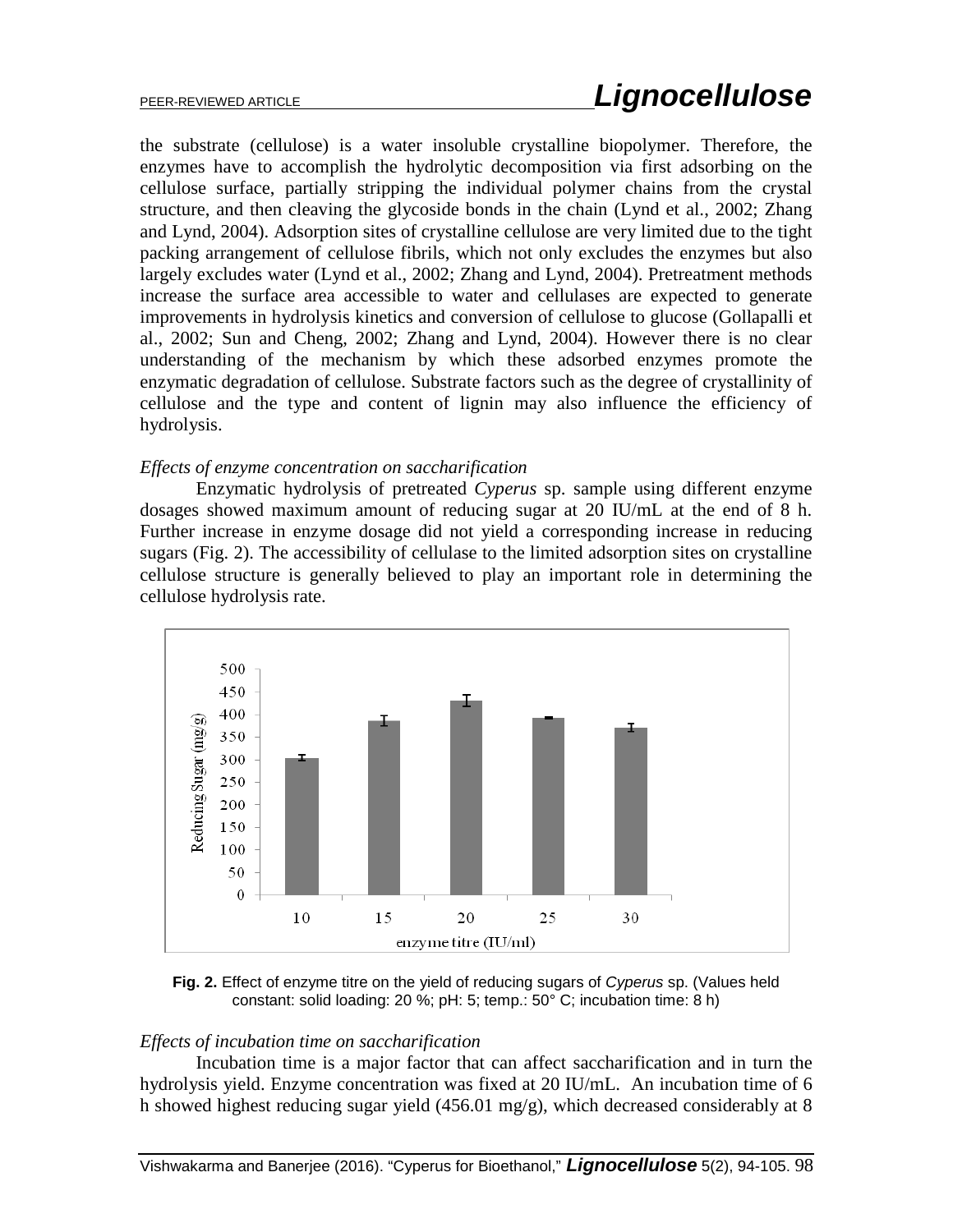the substrate (cellulose) is a water insoluble crystalline biopolymer. Therefore, the enzymes have to accomplish the hydrolytic decomposition via first adsorbing on the cellulose surface, partially stripping the individual polymer chains from the crystal structure, and then cleaving the glycoside bonds in the chain (Lynd et al., 2002; Zhang and Lynd, 2004). Adsorption sites of crystalline cellulose are very limited due to the tight packing arrangement of cellulose fibrils, which not only excludes the enzymes but also largely excludes water (Lynd et al., 2002; Zhang and Lynd, 2004). Pretreatment methods increase the surface area accessible to water and cellulases are expected to generate improvements in hydrolysis kinetics and conversion of cellulose to glucose (Gollapalli et al., 2002; Sun and Cheng, 2002; Zhang and Lynd, 2004). However there is no clear understanding of the mechanism by which these adsorbed enzymes promote the enzymatic degradation of cellulose. Substrate factors such as the degree of crystallinity of cellulose and the type and content of lignin may also influence the efficiency of hydrolysis.

### *Effects of enzyme concentration on saccharification*

Enzymatic hydrolysis of pretreated *Cyperus* sp. sample using different enzyme dosages showed maximum amount of reducing sugar at 20 IU/mL at the end of 8 h. Further increase in enzyme dosage did not yield a corresponding increase in reducing sugars (Fig. 2). The accessibility of cellulase to the limited adsorption sites on crystalline cellulose structure is generally believed to play an important role in determining the cellulose hydrolysis rate.



**Fig. 2.** Effect of enzyme titre on the yield of reducing sugars of *Cyperus* sp. (Values held constant: solid loading: 20 %; pH: 5; temp.: 50° C; incubation time: 8 h)

### *Effects of incubation time on saccharification*

Incubation time is a major factor that can affect saccharification and in turn the hydrolysis yield. Enzyme concentration was fixed at 20 IU/mL. An incubation time of 6 h showed highest reducing sugar yield (456.01 mg/g), which decreased considerably at 8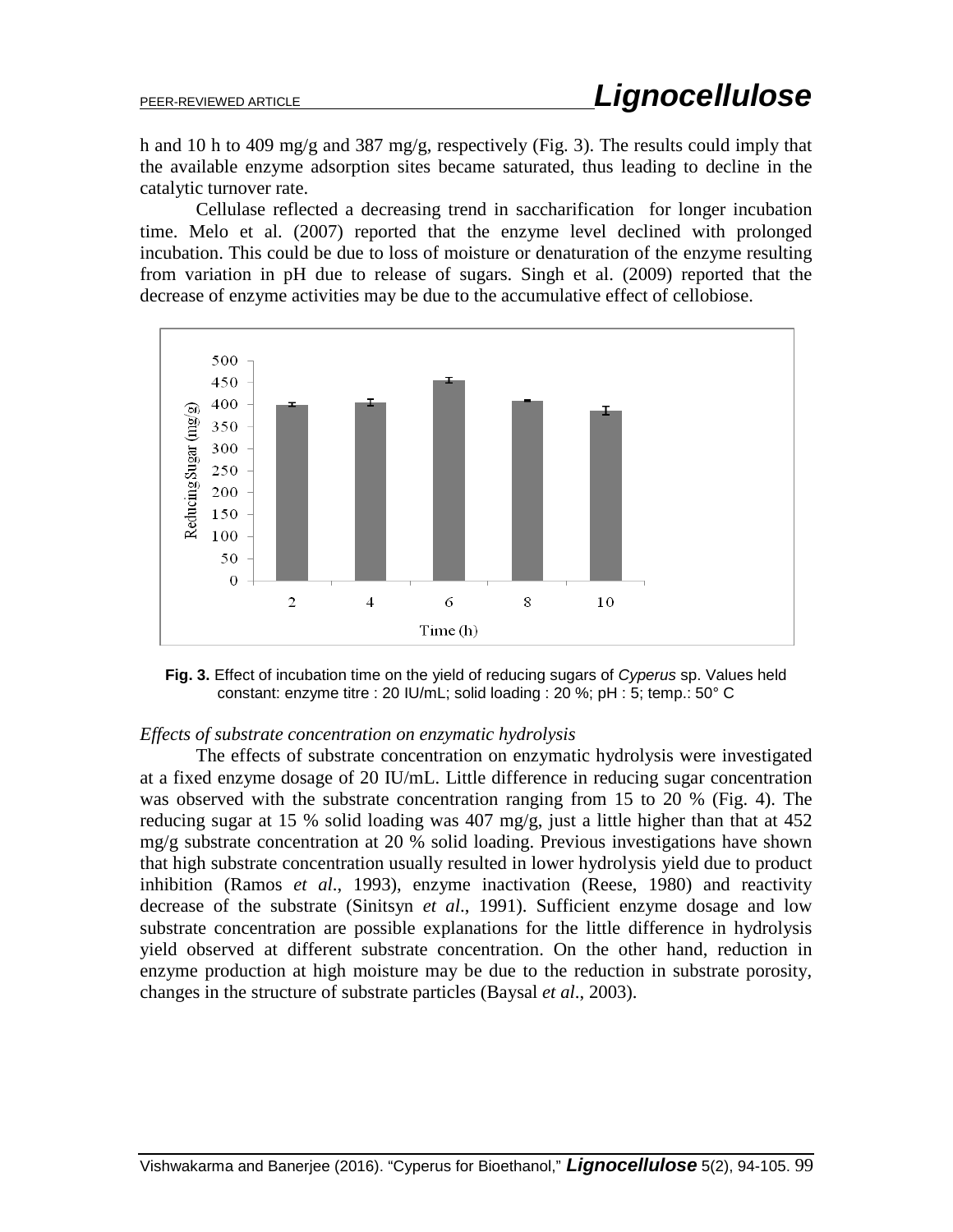h and 10 h to 409 mg/g and 387 mg/g, respectively (Fig. 3). The results could imply that the available enzyme adsorption sites became saturated, thus leading to decline in the catalytic turnover rate.

Cellulase reflected a decreasing trend in saccharification for longer incubation time. Melo et al. (2007) reported that the enzyme level declined with prolonged incubation. This could be due to loss of moisture or denaturation of the enzyme resulting from variation in pH due to release of sugars. Singh et al. (2009) reported that the decrease of enzyme activities may be due to the accumulative effect of cellobiose.



**Fig. 3.** Effect of incubation time on the yield of reducing sugars of *Cyperus* sp. Values held constant: enzyme titre : 20 IU/mL; solid loading : 20 %; pH : 5; temp.: 50° C

### *Effects of substrate concentration on enzymatic hydrolysis*

The effects of substrate concentration on enzymatic hydrolysis were investigated at a fixed enzyme dosage of 20 IU/mL. Little difference in reducing sugar concentration was observed with the substrate concentration ranging from 15 to 20 % (Fig. 4). The reducing sugar at 15 % solid loading was 407 mg/g, just a little higher than that at 452 mg/g substrate concentration at 20 % solid loading. Previous investigations have shown that high substrate concentration usually resulted in lower hydrolysis yield due to product inhibition (Ramos *et al*., 1993), enzyme inactivation (Reese, 1980) and reactivity decrease of the substrate (Sinitsyn *et al*., 1991). Sufficient enzyme dosage and low substrate concentration are possible explanations for the little difference in hydrolysis yield observed at different substrate concentration. On the other hand, reduction in enzyme production at high moisture may be due to the reduction in substrate porosity, changes in the structure of substrate particles (Baysal *et al*., 2003).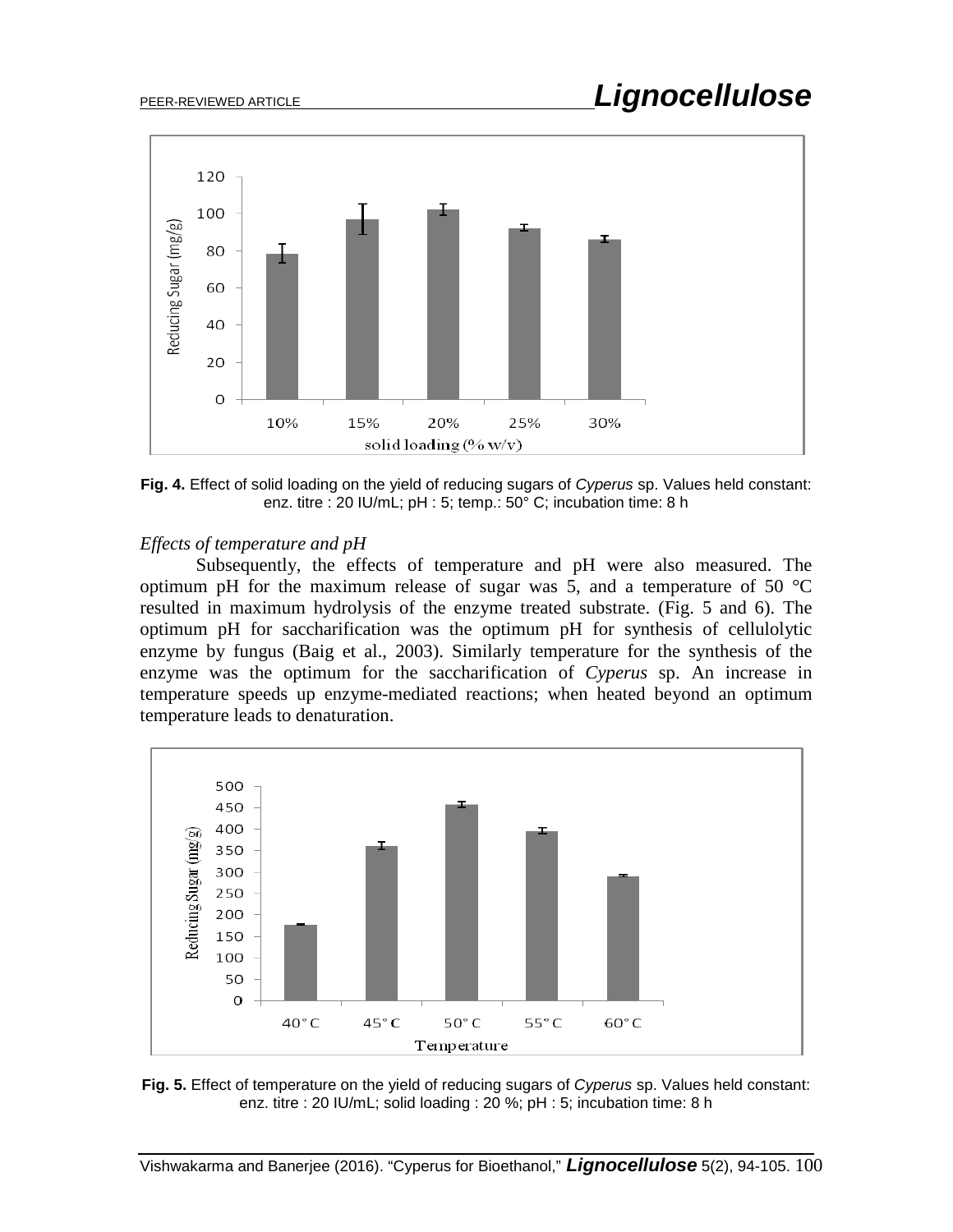

**Fig. 4.** Effect of solid loading on the yield of reducing sugars of *Cyperus* sp. Values held constant: enz. titre : 20 IU/mL; pH : 5; temp.: 50° C; incubation time: 8 h

### *Effects of temperature and pH*

Subsequently, the effects of temperature and pH were also measured. The optimum pH for the maximum release of sugar was 5, and a temperature of 50  $^{\circ}$ C resulted in maximum hydrolysis of the enzyme treated substrate. (Fig. 5 and 6). The optimum pH for saccharification was the optimum pH for synthesis of cellulolytic enzyme by fungus (Baig et al., 2003). Similarly temperature for the synthesis of the enzyme was the optimum for the saccharification of *Cyperus* sp. An increase in temperature speeds up enzyme-mediated reactions; when heated beyond an optimum temperature leads to denaturation.



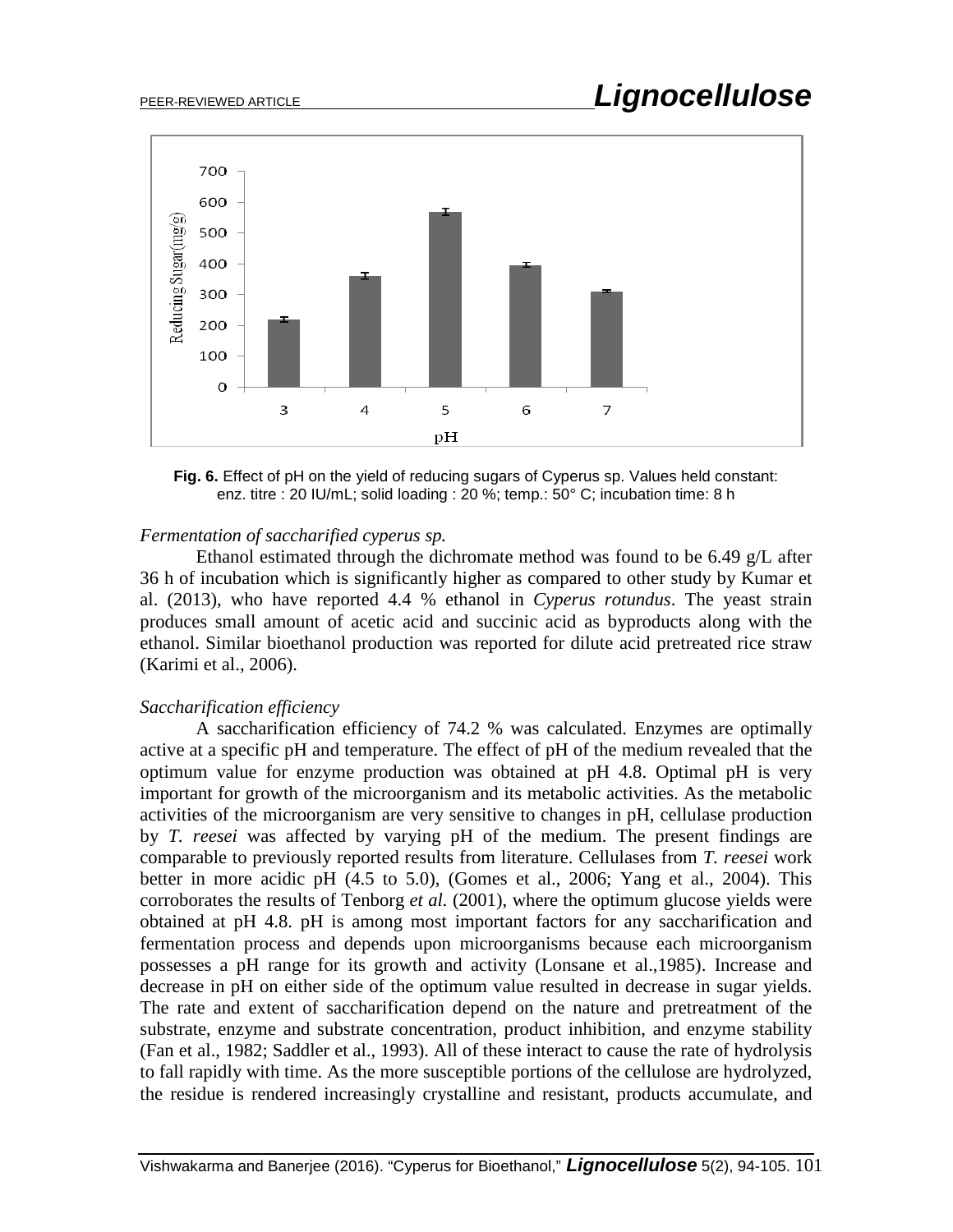

**Fig. 6.** Effect of pH on the yield of reducing sugars of Cyperus sp. Values held constant: enz. titre : 20 IU/mL; solid loading : 20 %; temp.: 50° C; incubation time: 8 h

### *Fermentation of saccharified cyperus sp.*

Ethanol estimated through the dichromate method was found to be 6.49 g/L after 36 h of incubation which is significantly higher as compared to other study by Kumar et al. (2013), who have reported 4.4 % ethanol in *Cyperus rotundus*. The yeast strain produces small amount of acetic acid and succinic acid as byproducts along with the ethanol. Similar bioethanol production was reported for dilute acid pretreated rice straw (Karimi et al., 2006).

### *Saccharification efficiency*

A saccharification efficiency of 74.2 % was calculated. Enzymes are optimally active at a specific pH and temperature. The effect of pH of the medium revealed that the optimum value for enzyme production was obtained at pH 4.8. Optimal pH is very important for growth of the microorganism and its metabolic activities. As the metabolic activities of the microorganism are very sensitive to changes in pH, cellulase production by *T. reesei* was affected by varying pH of the medium. The present findings are comparable to previously reported results from literature. Cellulases from *T. reesei* work better in more acidic pH (4.5 to 5.0), (Gomes et al., 2006; Yang et al., 2004). This corroborates the results of Tenborg *et al.* (2001), where the optimum glucose yields were obtained at pH 4.8. pH is among most important factors for any saccharification and fermentation process and depends upon microorganisms because each microorganism possesses a pH range for its growth and activity (Lonsane et al.,1985). Increase and decrease in pH on either side of the optimum value resulted in decrease in sugar yields. The rate and extent of saccharification depend on the nature and pretreatment of the substrate, enzyme and substrate concentration, product inhibition, and enzyme stability (Fan et al., 1982; Saddler et al., 1993). All of these interact to cause the rate of hydrolysis to fall rapidly with time. As the more susceptible portions of the cellulose are hydrolyzed, the residue is rendered increasingly crystalline and resistant, products accumulate, and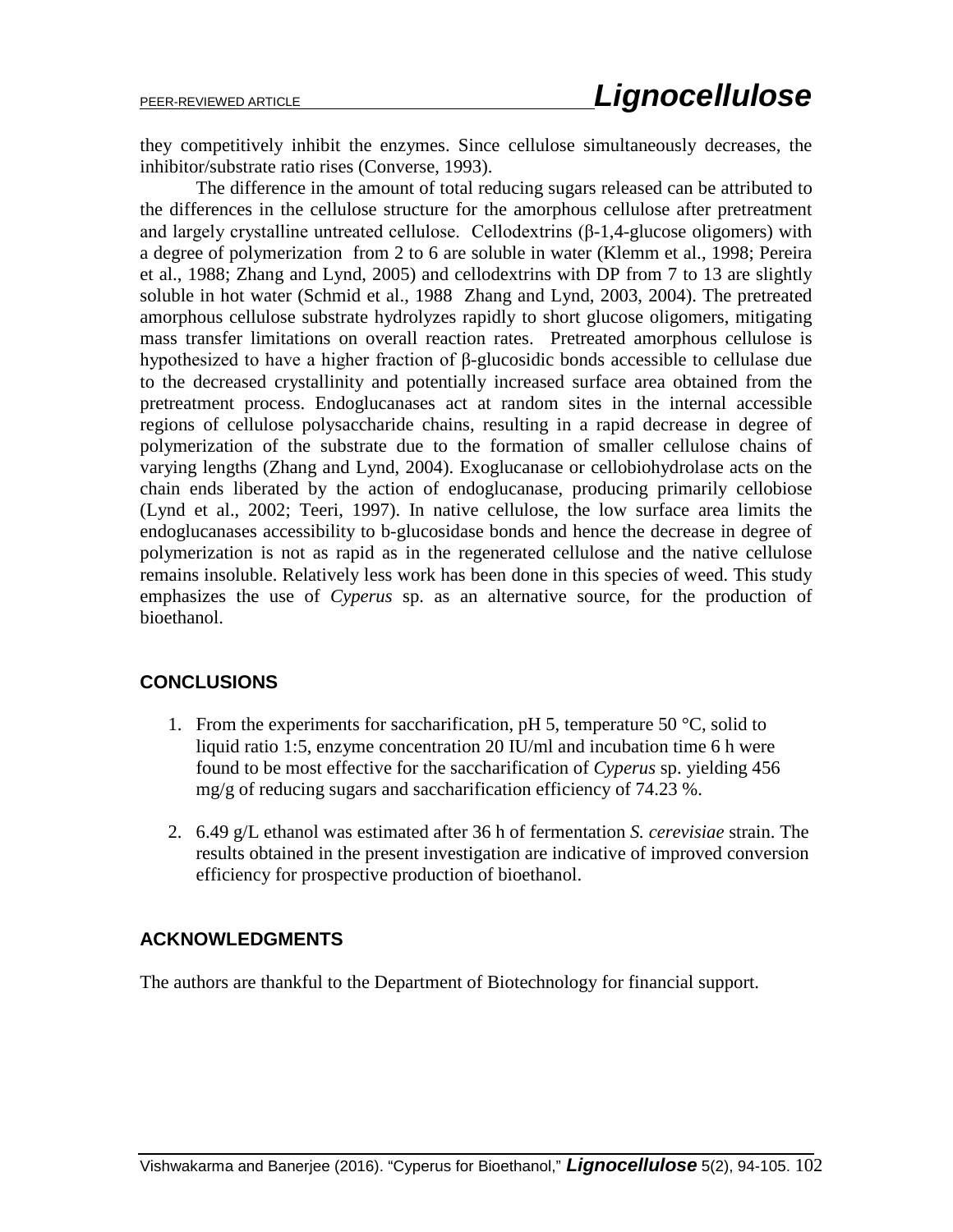they competitively inhibit the enzymes. Since cellulose simultaneously decreases, the inhibitor/substrate ratio rises (Converse, 1993).

The difference in the amount of total reducing sugars released can be attributed to the differences in the cellulose structure for the amorphous cellulose after pretreatment and largely crystalline untreated cellulose. Cellodextrins (β-1,4-glucose oligomers) with a degree of polymerization from 2 to 6 are soluble in water (Klemm et al., 1998; Pereira et al., 1988; Zhang and Lynd, 2005) and cellodextrins with DP from 7 to 13 are slightly soluble in hot water (Schmid et al., 1988 Zhang and Lynd, 2003, 2004). The pretreated amorphous cellulose substrate hydrolyzes rapidly to short glucose oligomers, mitigating mass transfer limitations on overall reaction rates. Pretreated amorphous cellulose is hypothesized to have a higher fraction of β-glucosidic bonds accessible to cellulase due to the decreased crystallinity and potentially increased surface area obtained from the pretreatment process. Endoglucanases act at random sites in the internal accessible regions of cellulose polysaccharide chains, resulting in a rapid decrease in degree of polymerization of the substrate due to the formation of smaller cellulose chains of varying lengths (Zhang and Lynd, 2004). Exoglucanase or cellobiohydrolase acts on the chain ends liberated by the action of endoglucanase, producing primarily cellobiose (Lynd et al., 2002; Teeri, 1997). In native cellulose, the low surface area limits the endoglucanases accessibility to b-glucosidase bonds and hence the decrease in degree of polymerization is not as rapid as in the regenerated cellulose and the native cellulose remains insoluble. Relatively less work has been done in this species of weed. This study emphasizes the use of *Cyperus* sp. as an alternative source, for the production of bioethanol.

# **CONCLUSIONS**

- 1. From the experiments for saccharification, pH 5, temperature 50  $\degree$ C, solid to liquid ratio 1:5, enzyme concentration 20 IU/ml and incubation time 6 h were found to be most effective for the saccharification of *Cyperus* sp. yielding 456 mg/g of reducing sugars and saccharification efficiency of 74.23 %.
- 2. 6.49 g/L ethanol was estimated after 36 h of fermentation *S. cerevisiae* strain. The results obtained in the present investigation are indicative of improved conversion efficiency for prospective production of bioethanol.

# **ACKNOWLEDGMENTS**

The authors are thankful to the Department of Biotechnology for financial support.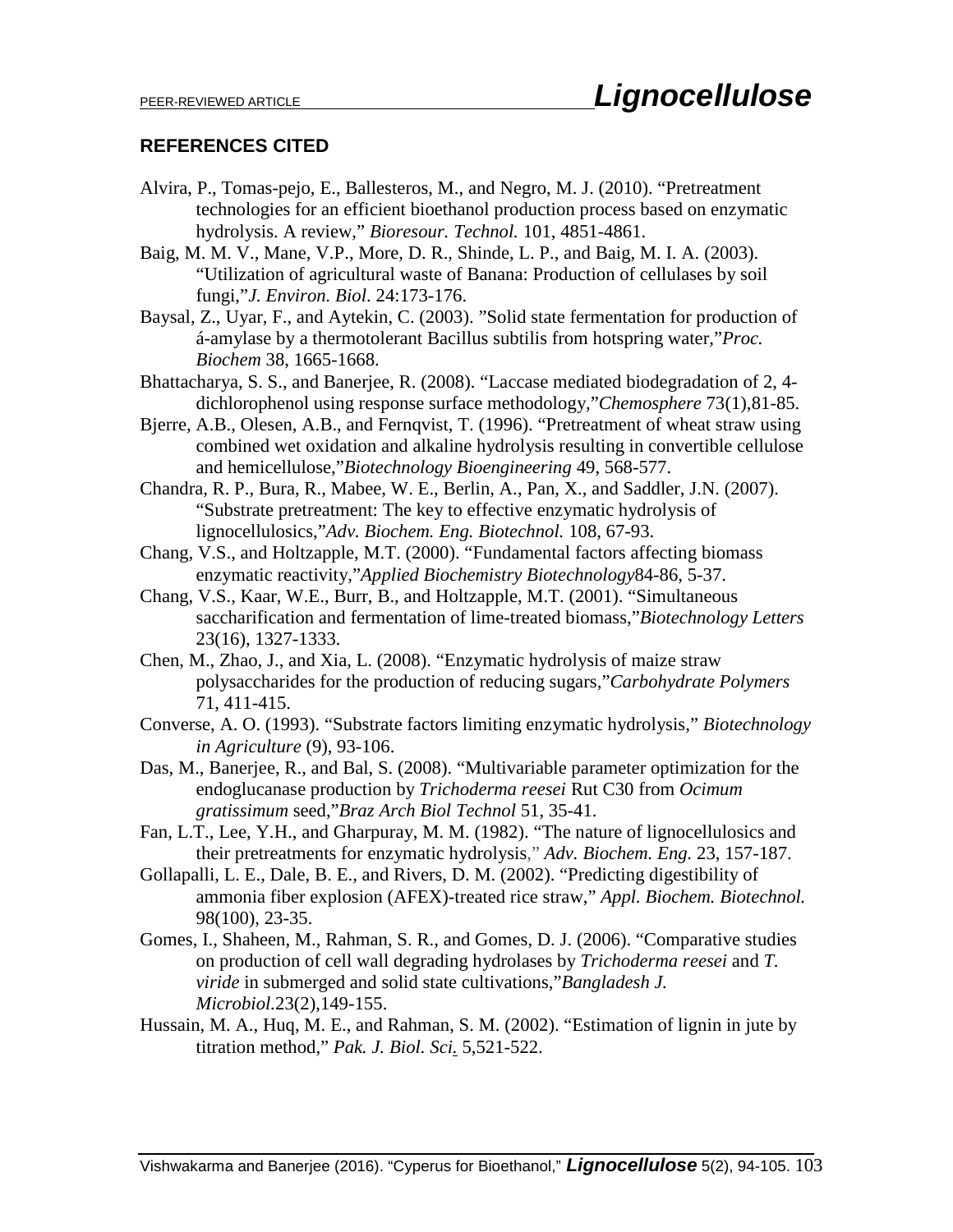### **REFERENCES CITED**

- Alvira, P., Tomas-pejo, E., Ballesteros, M., and Negro, M. J. (2010). "Pretreatment technologies for an efficient bioethanol production process based on enzymatic hydrolysis. A review," *Bioresour. Technol.* 101, 4851-4861.
- Baig, M. M. V., Mane, V.P., More, D. R., Shinde, L. P., and Baig, M. I. A. (2003). "Utilization of agricultural waste of Banana: Production of cellulases by soil fungi,"*J. Environ. Biol*. 24:173-176.
- Baysal, Z., Uyar, F., and Aytekin, C. (2003). "Solid state fermentation for production of á-amylase by a thermotolerant Bacillus subtilis from hotspring water,"*Proc. Biochem* 38, 1665-1668.
- Bhattacharya, S. S., and Banerjee, R. (2008). "Laccase mediated biodegradation of 2, 4 dichlorophenol using response surface methodology,"*Chemosphere* 73(1),81-85.
- Bjerre, A.B., Olesen, A.B., and Fernqvist, T. (1996). "Pretreatment of wheat straw using combined wet oxidation and alkaline hydrolysis resulting in convertible cellulose and hemicellulose,"*Biotechnology Bioengineering* 49, 568-577.
- Chandra, R. P., Bura, R., Mabee, W. E., Berlin, A., Pan, X., and Saddler, J.N. (2007). "Substrate pretreatment: The key to effective enzymatic hydrolysis of lignocellulosics,"*Adv. Biochem. Eng. Biotechnol.* 108, 67-93.
- Chang, V.S., and Holtzapple, M.T. (2000). "Fundamental factors affecting biomass enzymatic reactivity,"*Applied Biochemistry Biotechnology*84-86, 5-37.
- Chang, V.S., Kaar, W.E., Burr, B., and Holtzapple, M.T. (2001). "Simultaneous saccharification and fermentation of lime-treated biomass,"*Biotechnology Letters* 23(16), 1327-1333.
- Chen, M., Zhao, J., and Xia, L. (2008). "Enzymatic hydrolysis of maize straw polysaccharides for the production of reducing sugars,"*Carbohydrate Polymers* 71, 411-415.
- Converse, A. O. (1993). "Substrate factors limiting enzymatic hydrolysis," *Biotechnology in Agriculture* (9), 93-106.
- Das, M., Banerjee, R., and Bal, S. (2008). "Multivariable parameter optimization for the endoglucanase production by *Trichoderma reesei* Rut C30 from *Ocimum gratissimum* seed,"*Braz Arch Biol Technol* 51, 35-41.
- Fan, L.T., Lee, Y.H., and Gharpuray, M. M. (1982). "The nature of lignocellulosics and their pretreatments for enzymatic hydrolysis," *Adv. Biochem. Eng.* 23, 157-187.
- Gollapalli, L. E., Dale, B. E., and Rivers, D. M. (2002). "Predicting digestibility of ammonia fiber explosion (AFEX)-treated rice straw," *Appl. Biochem. Biotechnol.* 98(100), 23-35.
- Gomes, I., Shaheen, M., Rahman, S. R., and Gomes, D. J. (2006). "Comparative studies on production of cell wall degrading hydrolases by *Trichoderma reesei* and *T. viride* in submerged and solid state cultivations,"*Bangladesh J. Microbiol.*23(2),149-155.
- Hussain, M. A., Huq, M. E., and Rahman, S. M. (2002). "Estimation of lignin in jute by titration method," *Pak. J. Biol. Sci.* 5,521-522.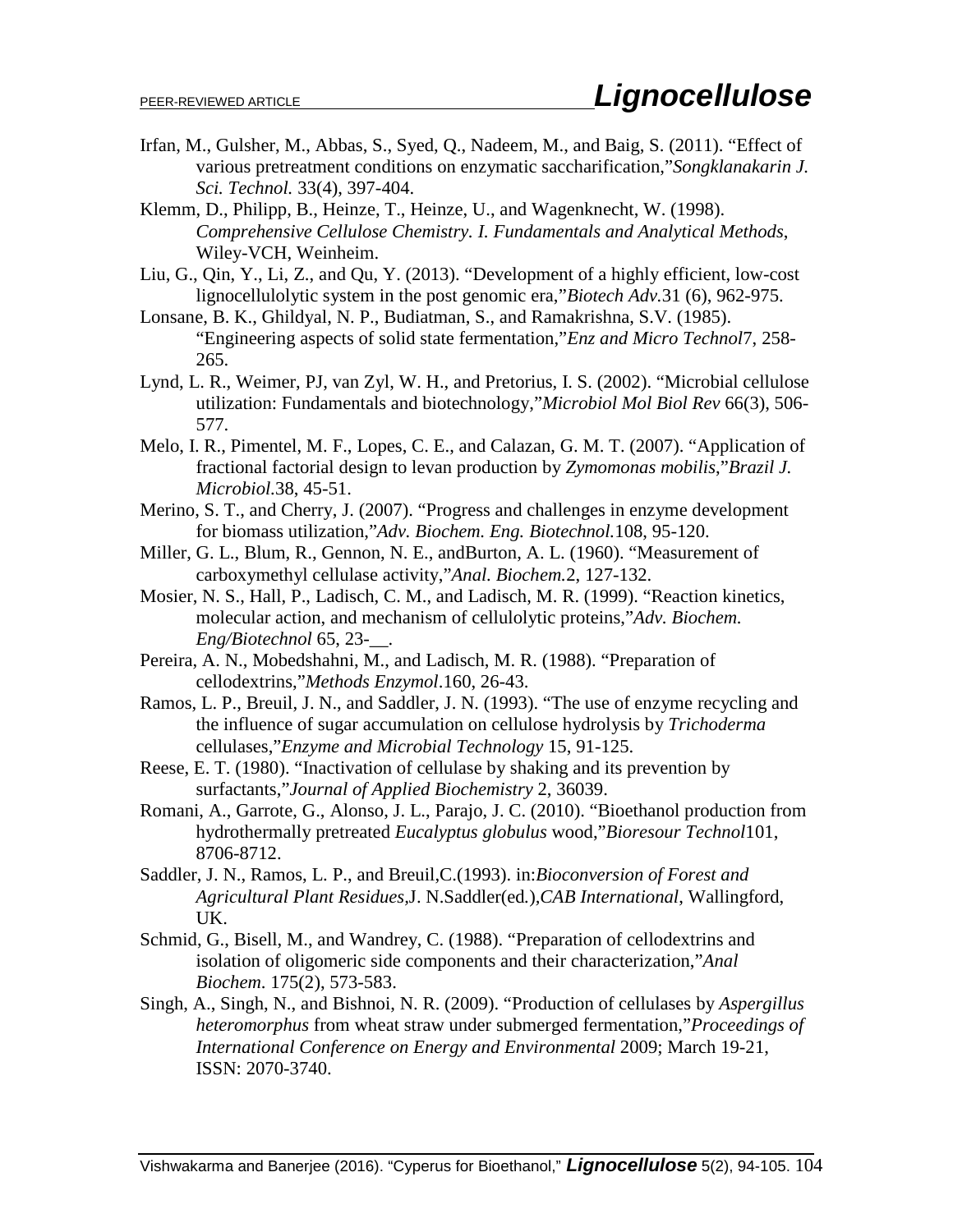- Irfan, M., Gulsher, M., Abbas, S., Syed, Q., Nadeem, M., and Baig, S. (2011). "Effect of various pretreatment conditions on enzymatic saccharification,"*Songklanakarin J. Sci. Technol.* 33(4), 397-404.
- Klemm, D., Philipp, B., Heinze, T., Heinze, U., and Wagenknecht, W. (1998). *Comprehensive Cellulose Chemistry. I. Fundamentals and Analytical Methods*, Wiley-VCH, Weinheim.
- Liu, G., Qin, Y., Li, Z., and Qu, Y. (2013). "Development of a highly efficient, low-cost lignocellulolytic system in the post genomic era,"*Biotech Adv.*31 (6), 962-975.
- Lonsane, B. K., Ghildyal, N. P., Budiatman, S., and Ramakrishna, S.V. (1985). "Engineering aspects of solid state fermentation,"*Enz and Micro Technol*7, 258- 265.
- Lynd, L. R., Weimer, PJ, van Zyl, W. H., and Pretorius, I. S. (2002). "Microbial cellulose utilization: Fundamentals and biotechnology,"*Microbiol Mol Biol Rev* 66(3), 506- 577.
- Melo, I. R., Pimentel, M. F., Lopes, C. E., and Calazan, G. M. T. (2007). "Application of fractional factorial design to levan production by *Zymomonas mobilis*,"*Brazil J. Microbiol.*38, 45-51.
- Merino, S. T., and Cherry, J. (2007). "Progress and challenges in enzyme development for biomass utilization,"*Adv. Biochem. Eng. Biotechnol.*108, 95-120.
- Miller, G. L., Blum, R., Gennon, N. E., andBurton, A. L. (1960). "Measurement of carboxymethyl cellulase activity,"*Anal. Biochem.*2, 127-132.
- Mosier, N. S., Hall, P., Ladisch, C. M., and Ladisch, M. R. (1999). "Reaction kinetics, molecular action, and mechanism of cellulolytic proteins,"*Adv. Biochem. Eng/Biotechnol* 65, 23-\_\_.
- Pereira, A. N., Mobedshahni, M., and Ladisch, M. R. (1988). "Preparation of cellodextrins,"*Methods Enzymol*.160, 26-43.
- Ramos, L. P., Breuil, J. N., and Saddler, J. N. (1993). "The use of enzyme recycling and the influence of sugar accumulation on cellulose hydrolysis by *Trichoderma* cellulases,"*Enzyme and Microbial Technology* 15, 91-125.
- Reese, E. T. (1980). "Inactivation of cellulase by shaking and its prevention by surfactants,"*Journal of Applied Biochemistry* 2, 36039.
- Romani, A., Garrote, G., Alonso, J. L., Parajo, J. C. (2010). "Bioethanol production from hydrothermally pretreated *Eucalyptus globulus* wood,"*Bioresour Technol*101, 8706-8712.
- Saddler, J. N., Ramos, L. P., and Breuil,C.(1993). in:*Bioconversion of Forest and Agricultural Plant Residues,*J. N.Saddler(ed*.*)*,CAB International*, Wallingford, UK.
- Schmid, G., Bisell, M., and Wandrey, C. (1988). "Preparation of cellodextrins and isolation of oligomeric side components and their characterization,"*Anal Biochem*. 175(2), 573-583.
- Singh, A., Singh, N., and Bishnoi, N. R. (2009). "Production of cellulases by *Aspergillus heteromorphus* from wheat straw under submerged fermentation,"*Proceedings of International Conference on Energy and Environmental* 2009; March 19-21, ISSN: 2070-3740.